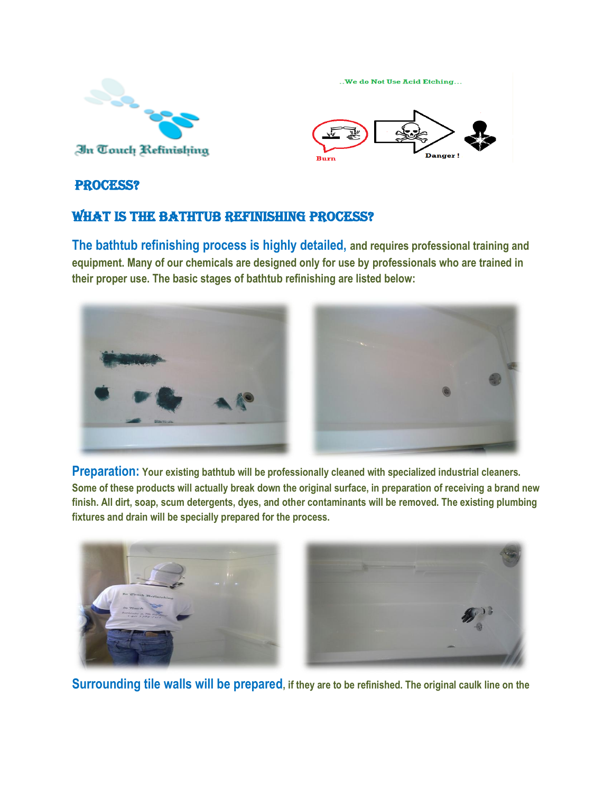

..We do Not Use Acid Etching... **Dange** 

## PROCESS?

## WHAT IS THE BATHTUB REFINISHING PROCESS?

**The bathtub refinishing process is highly detailed, and requires professional training and equipment. Many of our chemicals are designed only for use by professionals who are trained in their proper use. The basic stages of bathtub refinishing are listed below:**



**Preparation: Your existing bathtub will be professionally cleaned with specialized industrial cleaners. Some of these products will actually break down the original surface, in preparation of receiving a brand new finish. All dirt, soap, scum detergents, dyes, and other contaminants will be removed. The existing plumbing fixtures and drain will be specially prepared for the process.**



**Surrounding tile walls will be prepared, if they are to be refinished. The original caulk line on the**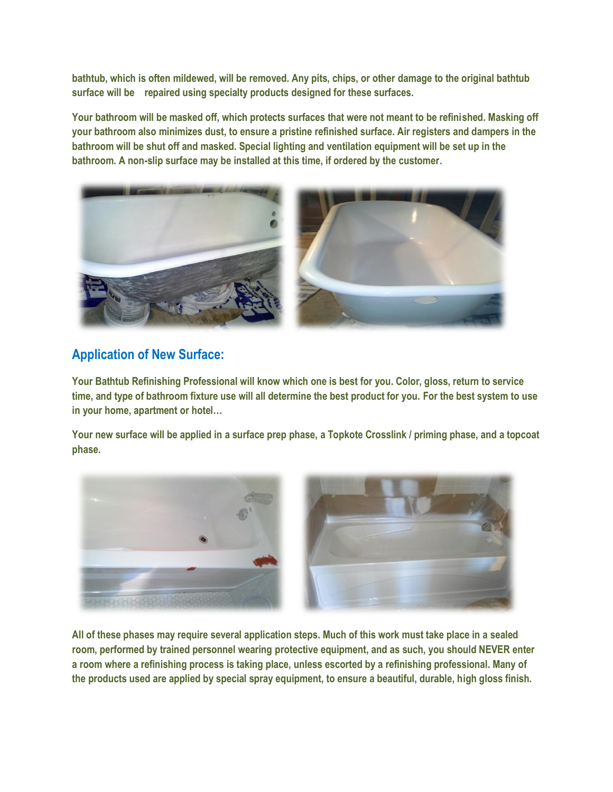**bathtub, which is often mildewed, will be removed. Any pits, chips, or other damage to the original bathtub surface will be repaired using specialty products designed for these surfaces.**

**Your bathroom will be masked off, which protects surfaces that were not meant to be refinished. Masking off your bathroom also minimizes dust, to ensure a pristine refinished surface. Air registers and dampers in the bathroom will be shut off and masked. Special lighting and ventilation equipment will be set up in the bathroom. A non-slip surface may be installed at this time, if ordered by the customer.**



## **Application of New Surface:**

**Your Bathtub Refinishing Professional will know which one is best for you. Color, gloss, return to service time, and type of bathroom fixture use will all determine the best product for you. For the best system to use in your home, apartment or hotel…**

**Your new surface will be applied in a surface prep phase, a Topkote Crosslink / priming phase, and a topcoat phase.**



**All of these phases may require several application steps. Much of this work must take place in a sealed room, performed by trained personnel wearing protective equipment, and as such, you should NEVER enter a room where a refinishing process is taking place, unless escorted by a refinishing professional. Many of the products used are applied by special spray equipment, to ensure a beautiful, durable, high gloss finish.**